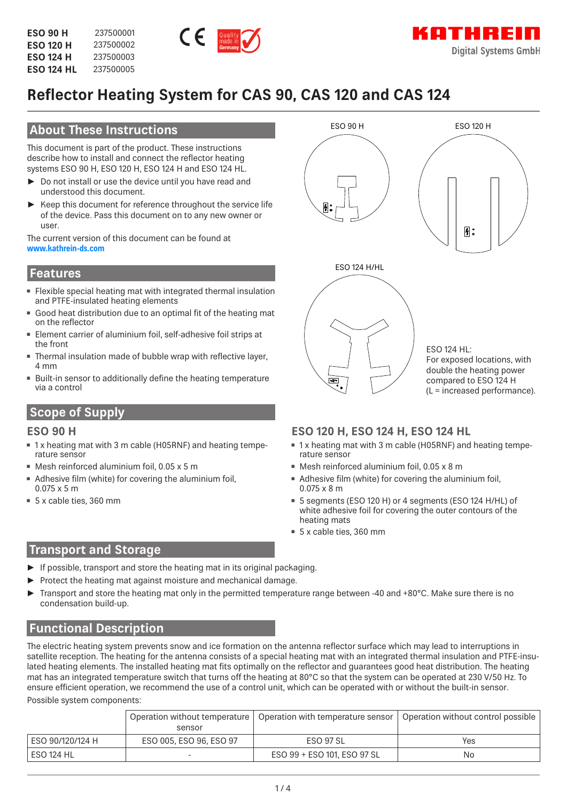

# **Reflector Heating System for CAS 90, CAS 120 and CAS 124**

# **About These Instructions**

This document is part of the product. These instructions describe how to install and connect the reflector heating systems ESO 90 H, ESO 120 H, ESO 124 H and ESO 124 HL.

- ► Do not install or use the device until you have read and understood this document.
- ► Keep this document for reference throughout the service life of the device. Pass this document on to any new owner or user.

The current version of this document can be found at **www.kathrein-ds.com**

### **Features**

- Flexible special heating mat with integrated thermal insulation and PTFE-insulated heating elements
- Good heat distribution due to an optimal fit of the heating mat on the reflector
- Element carrier of aluminium foil, self-adhesive foil strips at the front
- Thermal insulation made of bubble wrap with reflective layer, 4 mm
- Built-in sensor to additionally define the heating temperature via a control

# **Scope of Supply**

### **ESO 90 H**

- 1 x heating mat with 3 m cable (H05RNF) and heating temperature sensor
- Mesh reinforced aluminium foil, 0.05 x 5 m
- Adhesive film (white) for covering the aluminium foil, 0.075 x 5 m
- 5 x cable ties, 360 mm



# **ESO 120 H, ESO 124 H, ESO 124 HL**

- 1 x heating mat with 3 m cable (H05RNF) and heating temperature sensor
- Mesh reinforced aluminium foil, 0.05 x 8 m
- Adhesive film (white) for covering the aluminium foil, 0.075 x 8 m
- 5 segments (ESO 120 H) or 4 segments (ESO 124 H/HL) of white adhesive foil for covering the outer contours of the heating mats
- 5 x cable ties, 360 mm

### **Transport and Storage**

- If possible, transport and store the heating mat in its original packaging.
- Protect the heating mat against moisture and mechanical damage.
- Transport and store the heating mat only in the permitted temperature range between -40 and +80°C. Make sure there is no condensation build-up.

# **Functional Description**

The electric heating system prevents snow and ice formation on the antenna reflector surface which may lead to interruptions in satellite reception. The heating for the antenna consists of a special heating mat with an integrated thermal insulation and PTFE-insulated heating elements. The installed heating mat fits optimally on the reflector and guarantees good heat distribution. The heating mat has an integrated temperature switch that turns off the heating at 80°C so that the system can be operated at 230 V/50 Hz. To ensure efficient operation, we recommend the use of a control unit, which can be operated with or without the built-in sensor.

Possible system components:

|                    | sensor                  | Operation without temperature   Operation with temperature sensor | Operation without control possible |
|--------------------|-------------------------|-------------------------------------------------------------------|------------------------------------|
| l ESO 90/120/124 H | ESO 005, ESO 96, ESO 97 | ESO 97 SL                                                         | Yes                                |
| ESO 124 HL         |                         | ESO 99 + ESO 101, ESO 97 SL                                       | No                                 |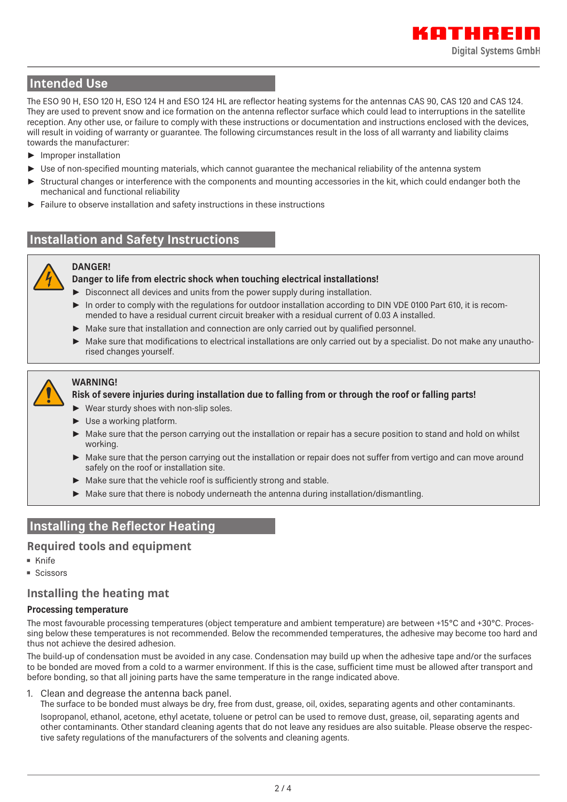# **Intended Use**

The ESO 90 H, ESO 120 H, ESO 124 H and ESO 124 HL are reflector heating systems for the antennas CAS 90, CAS 120 and CAS 124. They are used to prevent snow and ice formation on the antenna reflector surface which could lead to interruptions in the satellite reception. Any other use, or failure to comply with these instructions or documentation and instructions enclosed with the devices, will result in voiding of warranty or guarantee. The following circumstances result in the loss of all warranty and liability claims towards the manufacturer:

- ► Improper installation
- ► Use of non-specified mounting materials, which cannot guarantee the mechanical reliability of the antenna system
- Structural changes or interference with the components and mounting accessories in the kit, which could endanger both the mechanical and functional reliability
- Failure to observe installation and safety instructions in these instructions

# **Installation and Safety Instructions**



#### **DANGER!**

#### **Danger to life from electric shock when touching electrical installations!**

- ► Disconnect all devices and units from the power supply during installation.
- ► In order to comply with the regulations for outdoor installation according to DIN VDE 0100 Part 610, it is recommended to have a residual current circuit breaker with a residual current of 0.03 A installed.
- Make sure that installation and connection are only carried out by qualified personnel.
- Make sure that modifications to electrical installations are only carried out by a specialist. Do not make any unauthorised changes yourself.



#### **WARNING!**

#### **Risk of severe injuries during installation due to falling from or through the roof or falling parts!**

- ► Wear sturdy shoes with non-slip soles.
- ► Use a working platform.
- Make sure that the person carrying out the installation or repair has a secure position to stand and hold on whilst working.
- Make sure that the person carrying out the installation or repair does not suffer from vertigo and can move around safely on the roof or installation site.
- Make sure that the vehicle roof is sufficiently strong and stable.
- ► Make sure that there is nobody underneath the antenna during installation/dismantling.

### **Installing the Reflector Heating**

#### **Required tools and equipment**

- Knife
- Scissors

#### **Installing the heating mat**

#### **Processing temperature**

The most favourable processing temperatures (object temperature and ambient temperature) are between +15°C and +30°C. Processing below these temperatures is not recommended. Below the recommended temperatures, the adhesive may become too hard and thus not achieve the desired adhesion.

The build-up of condensation must be avoided in any case. Condensation may build up when the adhesive tape and/or the surfaces to be bonded are moved from a cold to a warmer environment. If this is the case, sufficient time must be allowed after transport and before bonding, so that all joining parts have the same temperature in the range indicated above.

1. Clean and degrease the antenna back panel.

The surface to be bonded must always be dry, free from dust, grease, oil, oxides, separating agents and other contaminants. Isopropanol, ethanol, acetone, ethyl acetate, toluene or petrol can be used to remove dust, grease, oil, separating agents and other contaminants. Other standard cleaning agents that do not leave any residues are also suitable. Please observe the respective safety regulations of the manufacturers of the solvents and cleaning agents.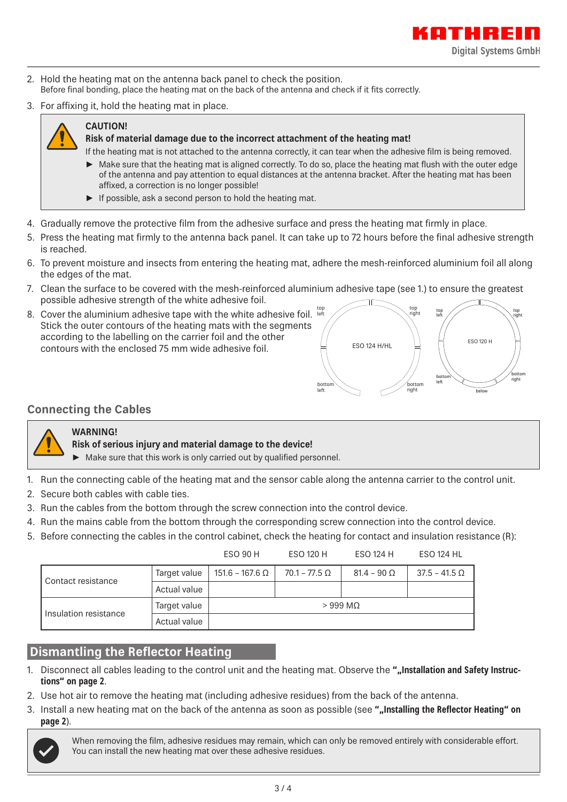

- 2. Hold the heating mat on the antenna back panel to check the position. Before final bonding, place the heating mat on the back of the antenna and check if it fits correctly.
- 3. For affixing it, hold the heating mat in place.



# **CAUTION!**

#### **Risk of material damage due to the incorrect attachment of the heating mat!**

If the heating mat is not attached to the antenna correctly, it can tear when the adhesive film is being removed.

- ► Make sure that the heating mat is aligned correctly. To do so, place the heating mat flush with the outer edge of the antenna and pay attention to equal distances at the antenna bracket. After the heating mat has been affixed, a correction is no longer possible!
- $\blacktriangleright$  If possible, ask a second person to hold the heating mat.
- 4. Gradually remove the protective film from the adhesive surface and press the heating mat firmly in place.
- 5. Press the heating mat firmly to the antenna back panel. It can take up to 72 hours before the final adhesive strength is reached.
- 6. To prevent moisture and insects from entering the heating mat, adhere the mesh-reinforced aluminium foil all along the edges of the mat.
- 7. Clean the surface to be covered with the mesh-reinforced aluminium adhesive tape (see 1.) to ensure the greatest possible adhesive strength of the white adhesive foil.
- 8. Cover the aluminium adhesive tape with the white adhesive foil.  $_{{}^{{}^{\text{top}}}}$ Stick the outer contours of the heating mats with the segments according to the labelling on the carrier foil and the other contours with the enclosed 75 mm wide adhesive foil.



### **Connecting the Cables**



#### **WARNING!**

- **Risk of serious injury and material damage to the device!**
- ► Make sure that this work is only carried out by qualified personnel.
- 1. Run the connecting cable of the heating mat and the sensor cable along the antenna carrier to the control unit.
- 2. Secure both cables with cable ties.
- 3. Run the cables from the bottom through the screw connection into the control device.
- 4. Run the mains cable from the bottom through the corresponding screw connection into the control device.
- 5. Before connecting the cables in the control cabinet, check the heating for contact and insulation resistance (R):

|                       |              | ESO 90 H        | <b>ESO 120 H</b>       | ESO 124 H          | <b>ESO 124 HL</b>    |
|-----------------------|--------------|-----------------|------------------------|--------------------|----------------------|
| Contact resistance    | Target value | 151.6 – 167.6 Ω | $70.1$ – 77.5 $\Omega$ | $81.4 - 90 \Omega$ | $37.5 - 41.5 \Omega$ |
|                       | Actual value |                 |                        |                    |                      |
| Insulation resistance | Target value |                 | $>999$ MQ              |                    |                      |
|                       | Actual value |                 |                        |                    |                      |

# **Dismantling the Reflector Heating**

- 1. Disconnect all cables leading to the control unit and the heating mat. Observe the ""Installation and Safety Instruc**tions" on page 2**.
- 2. Use hot air to remove the heating mat (including adhesive residues) from the back of the antenna.
- 3. Install a new heating mat on the back of the antenna as soon as possible (see **""Installing the Reflector Heating" on page 2**).



When removing the film, adhesive residues may remain, which can only be removed entirely with considerable effort. You can install the new heating mat over these adhesive residues.